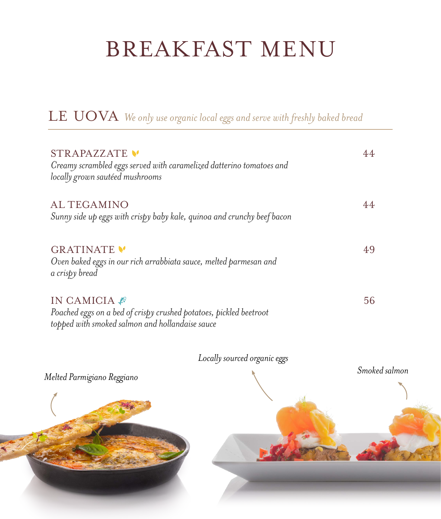# BREAKFAST MENU

| STRAPAZZATE<br>Creamy scrambled eggs served with caramelized datterino tomatoes and<br>locally grown sautéed mushrooms              |    |
|-------------------------------------------------------------------------------------------------------------------------------------|----|
| AL TEGAMINO<br>Sunny side up eggs with crispy baby kale, quinoa and crunchy beef bacon                                              |    |
| GRATINATE V<br>Oven baked eggs in our rich arrabbiata sauce, melted parmesan and<br>a crispy bread                                  | 49 |
| IN CAMICIA<br>Poached eggs on a bed of crispy crushed potatoes, pickled beetroot<br>topped with smoked salmon and hollandaise sauce | 56 |

LE UOVA *We only use organic local eggs and serve with freshly baked bread*



*Locally sourced organic eggs*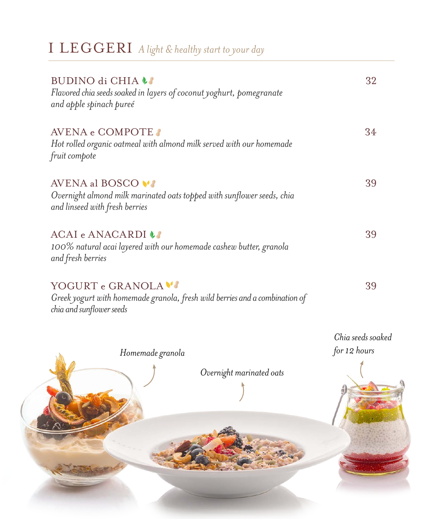| BUDINO di CHIA !!<br>Flavored chia seeds soaked in layers of coconut yoghurt, pomegranate<br>and apple spinach pureé           | 32              |
|--------------------------------------------------------------------------------------------------------------------------------|-----------------|
| AVENA e COMPOTE<br>Hot rolled organic oatmeal with almond milk served with our homemade<br>fruit compote                       | 34              |
| AVENA al BOSCO VI<br>Overnight almond milk marinated oats topped with sunflower seeds, chia<br>and linseed with fresh berries  | 39              |
| ACAI e ANACARDI LA<br>100% natural acai layered with our homemade cashew butter, granola<br>and fresh berries                  | 39              |
| YOGURT e GRANOLA V'<br>Greek yogurt with homemade granola, fresh wild berries and a combination of<br>chia and sunflower seeds | 39              |
|                                                                                                                                | Chia seeds soal |

 $k$ *ed for 12 hours*

I LEGGERI *A light & healthy start to your day*



*Homemade granola*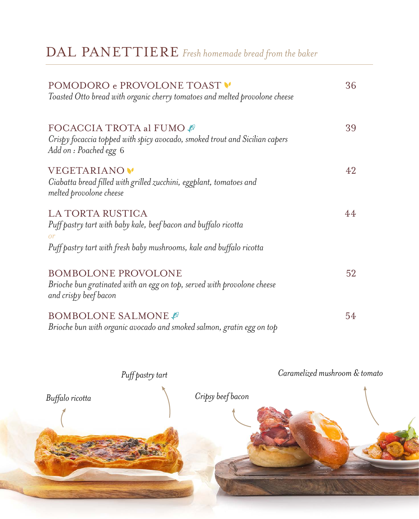| POMODORO e PROVOLONE TOAST<br>Toasted Otto bread with organic cherry tomatoes and melted provolone cheese                                                                | 36 |
|--------------------------------------------------------------------------------------------------------------------------------------------------------------------------|----|
| FOCACCIA TROTA al FUMO @<br>Crispy focaccia topped with spicy avocado, smoked trout and Sicilian capers<br>Add on : Poached egg 6                                        | 39 |
| VEGETARIANO <sup>V</sup><br>Ciabatta bread filled with grilled zucchini, eggplant, tomatoes and<br>melted provolone cheese                                               | 42 |
| LA TORTA RUSTICA<br>Puff pastry tart with baby kale, beef bacon and buffalo ricotta<br><b>or</b><br>Puff pastry tart with fresh baby mushrooms, kale and buffalo ricotta | 44 |
| <b>BOMBOLONE PROVOLONE</b><br>Brioche bun gratinated with an egg on top, served with provolone cheese<br>and crispy beef bacon                                           | 52 |
| <b>BOMBOLONE SALMONE</b><br>Brioche bun with organic avocado and smoked salmon, gratin egg on top                                                                        | 54 |

#### DAL PANETTIERE *Fresh homemade bread from the baker*

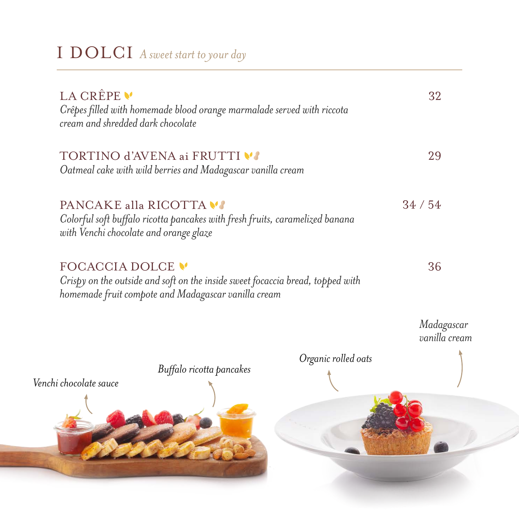## I DOLCI *A sweet start to your day*

| LA CRÊPE V<br>cream and shredded dark chocolate | Crêpes filled with homemade blood orange marmalade served with riccota                                                                |                     | 32                          |
|-------------------------------------------------|---------------------------------------------------------------------------------------------------------------------------------------|---------------------|-----------------------------|
|                                                 | TORTINO d'AVENA ai FRUTTI VA<br>Oatmeal cake with wild berries and Madagascar vanilla cream                                           |                     | 29                          |
| with Venchi chocolate and orange glaze          | PANCAKE alla RICOTTA VI<br>Colorful soft buffalo ricotta pancakes with fresh fruits, caramelized banana                               |                     | 34/54                       |
| FOCACCIA DOLCE V                                | Crispy on the outside and soft on the inside sweet focaccia bread, topped with<br>homemade fruit compote and Madagascar vanilla cream |                     | 36                          |
|                                                 |                                                                                                                                       |                     | Madagascar<br>vanilla cream |
| Venchi chocolate sauce                          | Buffalo ricotta pancakes                                                                                                              | Organic rolled oats |                             |
|                                                 |                                                                                                                                       |                     |                             |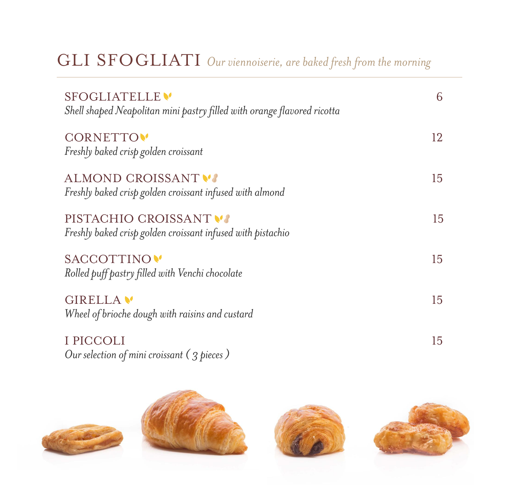## GLI SFOGLIATI *Our viennoiserie, are baked fresh from the morning*

| SFOGLIATELLE <sup>V</sup><br>Shell shaped Neapolitan mini pastry filled with orange flavored ricotta | 6              |
|------------------------------------------------------------------------------------------------------|----------------|
| <b>CORNETTO</b><br>Freshly baked crisp golden croissant                                              | 12             |
| ALMOND CROISSANT VI<br>Freshly baked crisp golden croissant infused with almond                      | 15             |
| PISTACHIO CROISSANT<br>Freshly baked crisp golden croissant infused with pistachio                   | 15             |
| SACCOTTINO<br>Rolled puff pastry filled with Venchi chocolate                                        | 15             |
| GIRELLA V<br>Wheel of brioche dough with raisins and custard                                         | $\overline{5}$ |
| I PICCOLI<br>Our selection of mini croissant $(3$ pieces)                                            | 15             |

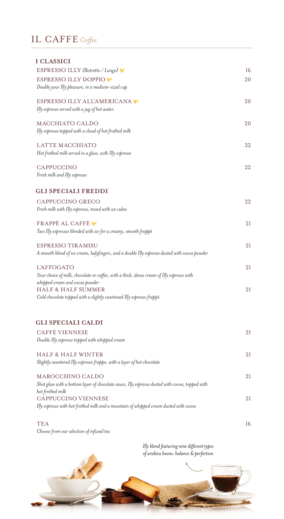#### IL CAFFE *Coffee*

*Two Illy espressos blended with ice for a creamy, smooth frappè*

| I CLASSICI                                             |    |
|--------------------------------------------------------|----|
| ESPRESSO ILLY (Ristretto / Lungo)                      | 16 |
| ESPRESSO ILLY DOPPIO                                   | 20 |
| Double your Illy pleasure, in a medium-sized cup       |    |
| ESPRESSO ILLY ALL'AMERICANA                            | 20 |
| Illy espresso served with a jug of hot water.          |    |
| MACCHIATO CALDO                                        | 20 |
| Illy espresso topped with a cloud of hot frothed milk  |    |
| LATTE MACCHIATO                                        | 22 |
| Hot frothed milk served in a glass, with Illy espresso |    |
| CAPPUCCINO                                             | 22 |
| Fresh milk and Illy espresso                           |    |
| <b>GLI SPECIALI FREDDI</b>                             |    |
| CAPPUCCINO GRECO                                       | 22 |
| Fresh milk with Illy espresso, mixed with ice cubes    |    |
| FRAPPE AL CAFFE                                        | 21 |

| ESPRESSO TIRAMISU<br>A smooth blend of ice cream, ladyfingers, and a double Illy espresso dusted with cocoa powder |    |  |
|--------------------------------------------------------------------------------------------------------------------|----|--|
| <b>L'AFFOGATO</b><br>Your choice of milk, chocolate or coffee, with a thick, dense cream of Illy espresso with     | 21 |  |
| whipped cream and cocoa powder<br><b>HALF &amp; HALF SUMMER</b>                                                    | 21 |  |
| Cold chocolate topped with a slightly sweetened Illy espresso frappè                                               |    |  |
| <b>GLI SPECIALI CALDI</b>                                                                                          |    |  |
| <b>CAFFÈ VIENNESE</b>                                                                                              | 21 |  |
| Double Illy espresso topped with whipped cream                                                                     |    |  |
| <b>HALF &amp; HALF WINTER</b>                                                                                      | 21 |  |
| Slightly sweetened Illy espresso frappe, with a layer of hot chocolate                                             |    |  |
| MAROCCHINO CALDO                                                                                                   | 21 |  |
| Shot glass with a bottom layer of chocolate sauce, Illy espresso dusted with cocoa, topped with                    |    |  |
| hot frothed milk<br><b>CAPPUCCINO VIENNESE</b>                                                                     | 21 |  |
| Illy espresso with hot frothed milk and a mountain of whipped cream dusted with cocoa                              |    |  |
| <b>TEA</b>                                                                                                         | 16 |  |
| Choose from our selection of infused tea                                                                           |    |  |

*Illy blend featuring nine different types of arabica beans: balance & perfection*